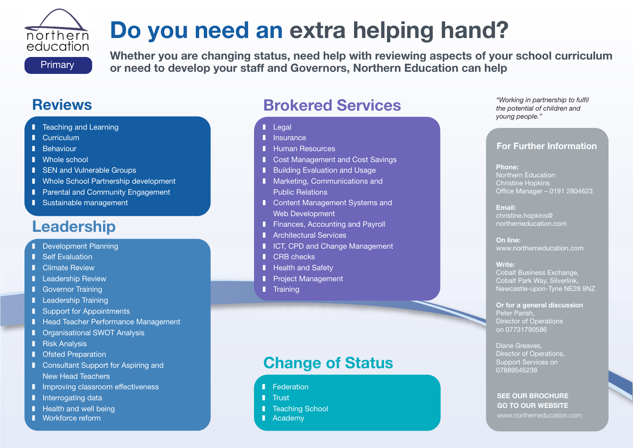# **Do you need an extra helping hand?**

**Primary** 

northern education

**Whether you are changing status, need help with reviewing aspects of your school curriculum or need to develop your staff and Governors, Northern Education can help**

## **Reviews**

- **I** Teaching and Learning
- **I** Curriculum
- **❚** Behaviour
- **I** Whole school
- **I** SEN and Vulnerable Groups
- Whole School Partnership development
- Parental and Community Engagement
- **❚** Sustainable management

# **Leadership**

- **I** Development Planning
- Self Evaluation
- **I** Climate Review
- **❚** Leadership Review
- **I** Governor Training
- **I** Leadership Training
- **I** Support for Appointments
- Head Teacher Performance Management
- Organisational SWOT Analysis
- **l** Risk Analysis
- **I** Ofsted Preparation
- Consultant Support for Aspiring and New Head Teachers
- **I** Improving classroom effectiveness
- **l** Interrogating data
- Health and well being
- **❚** Workforce reform

# **Brokered Services**

- **❚** Legal
- **l** Insurance
- **❚** Human Resources
- Cost Management and Cost Savings
- Building Evaluation and Usage
- Marketing, Communications and Public Relations
- Content Management Systems and Web Development
- Finances, Accounting and Payroll
- **I** Architectural Services
- **■** ICT, CPD and Change Management
- **❚** CRB checks
- **I** Health and Safety
- **❚** Project Management
- **❚** Training

#### *"Working in partnership to fulfil the potential of children and young people."*

### **For Further Information**

#### **Phone:** Northern Education Christine Hopkins Office Manager – 0191 2804623

**Email:** christine.hopkins@ northerneducation.com

**On line:** www.northerneducation.com

#### **Write:**

Cobalt Business Exchange, Cobalt Park Way, Silverlink, Newcastle-upon-Tyne NE28 9NZ

#### **Or for a general discussion** Peter Parish, Director of Operations on 07731790586

#### Diane Greaves, Director of Operations, Support Services on 07889545238

#### **SEE OUR BROCHURE GO TO OUR WEBSITE** www.northerneducation.com

# **Change of Status**

- **l** Federation
- **❚** Trust
- Teaching School
- **❚** Academy